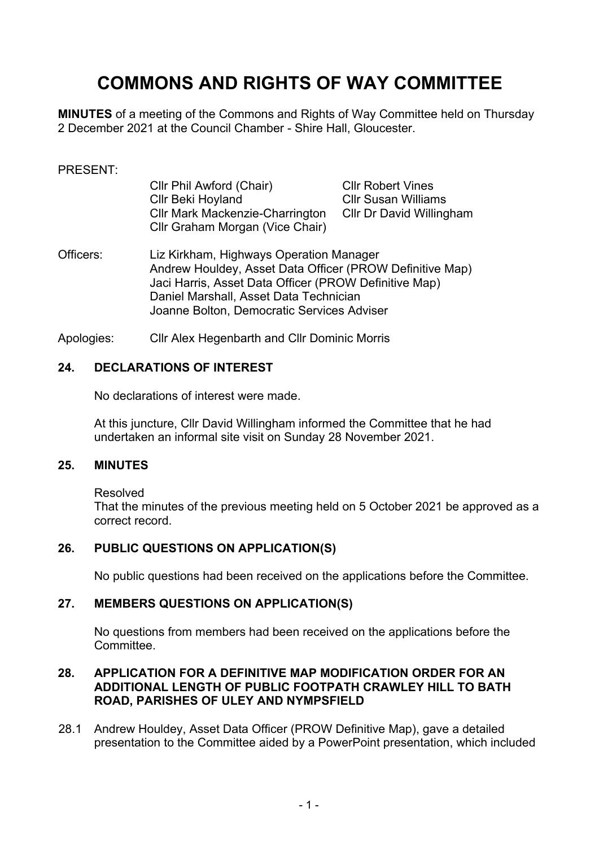# **COMMONS AND RIGHTS OF WAY COMMITTEE**

**MINUTES** of a meeting of the Commons and Rights of Way Committee held on Thursday 2 December 2021 at the Council Chamber - Shire Hall, Gloucester.

#### PRESENT:

| Cllr Phil Awford (Chair)               | <b>Cllr Robert Vines</b>   |
|----------------------------------------|----------------------------|
| Cllr Beki Hoyland                      | <b>Cllr Susan Williams</b> |
| <b>CIIr Mark Mackenzie-Charrington</b> | Cllr Dr David Willingham   |
| Cllr Graham Morgan (Vice Chair)        |                            |

- Officers: Liz Kirkham, Highways Operation Manager Andrew Houldey, Asset Data Officer (PROW Definitive Map) Jaci Harris, Asset Data Officer (PROW Definitive Map) Daniel Marshall, Asset Data Technician Joanne Bolton, Democratic Services Adviser
- Apologies: Cllr Alex Hegenbarth and Cllr Dominic Morris

#### **24. DECLARATIONS OF INTEREST**

No declarations of interest were made.

At this juncture, Cllr David Willingham informed the Committee that he had undertaken an informal site visit on Sunday 28 November 2021.

#### **25. MINUTES**

Resolved

That the minutes of the previous meeting held on 5 October 2021 be approved as a correct record.

# **26. PUBLIC QUESTIONS ON APPLICATION(S)**

No public questions had been received on the applications before the Committee.

#### **27. MEMBERS QUESTIONS ON APPLICATION(S)**

No questions from members had been received on the applications before the **Committee.** 

#### **28. APPLICATION FOR A DEFINITIVE MAP MODIFICATION ORDER FOR AN ADDITIONAL LENGTH OF PUBLIC FOOTPATH CRAWLEY HILL TO BATH ROAD, PARISHES OF ULEY AND NYMPSFIELD**

28.1 Andrew Houldey, Asset Data Officer (PROW Definitive Map), gave a detailed presentation to the Committee aided by a PowerPoint presentation, which included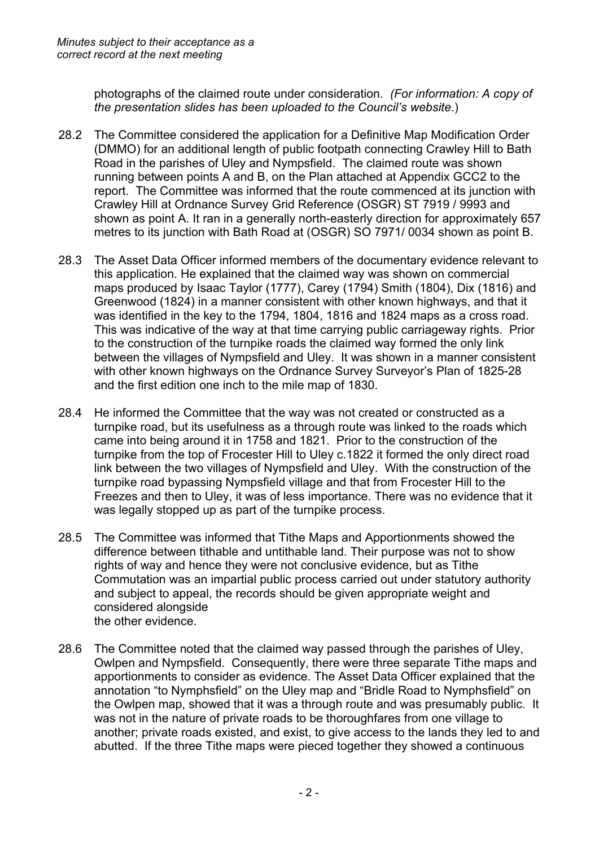photographs of the claimed route under consideration. *(For information: A copy of the presentation slides has been uploaded to the Council's website*.)

- 28.2 The Committee considered the application for a Definitive Map Modification Order (DMMO) for an additional length of public footpath connecting Crawley Hill to Bath Road in the parishes of Uley and Nympsfield. The claimed route was shown running between points A and B, on the Plan attached at Appendix GCC2 to the report. The Committee was informed that the route commenced at its junction with Crawley Hill at Ordnance Survey Grid Reference (OSGR) ST 7919 / 9993 and shown as point A. It ran in a generally north-easterly direction for approximately 657 metres to its junction with Bath Road at (OSGR) SO 7971/ 0034 shown as point B.
- 28.3 The Asset Data Officer informed members of the documentary evidence relevant to this application. He explained that the claimed way was shown on commercial maps produced by Isaac Taylor (1777), Carey (1794) Smith (1804), Dix (1816) and Greenwood (1824) in a manner consistent with other known highways, and that it was identified in the key to the 1794, 1804, 1816 and 1824 maps as a cross road. This was indicative of the way at that time carrying public carriageway rights. Prior to the construction of the turnpike roads the claimed way formed the only link between the villages of Nympsfield and Uley. It was shown in a manner consistent with other known highways on the Ordnance Survey Surveyor's Plan of 1825-28 and the first edition one inch to the mile map of 1830.
- 28.4 He informed the Committee that the way was not created or constructed as a turnpike road, but its usefulness as a through route was linked to the roads which came into being around it in 1758 and 1821. Prior to the construction of the turnpike from the top of Frocester Hill to Uley c.1822 it formed the only direct road link between the two villages of Nympsfield and Uley. With the construction of the turnpike road bypassing Nympsfield village and that from Frocester Hill to the Freezes and then to Uley, it was of less importance. There was no evidence that it was legally stopped up as part of the turnpike process.
- 28.5 The Committee was informed that Tithe Maps and Apportionments showed the difference between tithable and untithable land. Their purpose was not to show rights of way and hence they were not conclusive evidence, but as Tithe Commutation was an impartial public process carried out under statutory authority and subject to appeal, the records should be given appropriate weight and considered alongside the other evidence.
- 28.6 The Committee noted that the claimed way passed through the parishes of Uley, Owlpen and Nympsfield. Consequently, there were three separate Tithe maps and apportionments to consider as evidence. The Asset Data Officer explained that the annotation "to Nymphsfield" on the Uley map and "Bridle Road to Nymphsfield" on the Owlpen map, showed that it was a through route and was presumably public. It was not in the nature of private roads to be thoroughfares from one village to another; private roads existed, and exist, to give access to the lands they led to and abutted. If the three Tithe maps were pieced together they showed a continuous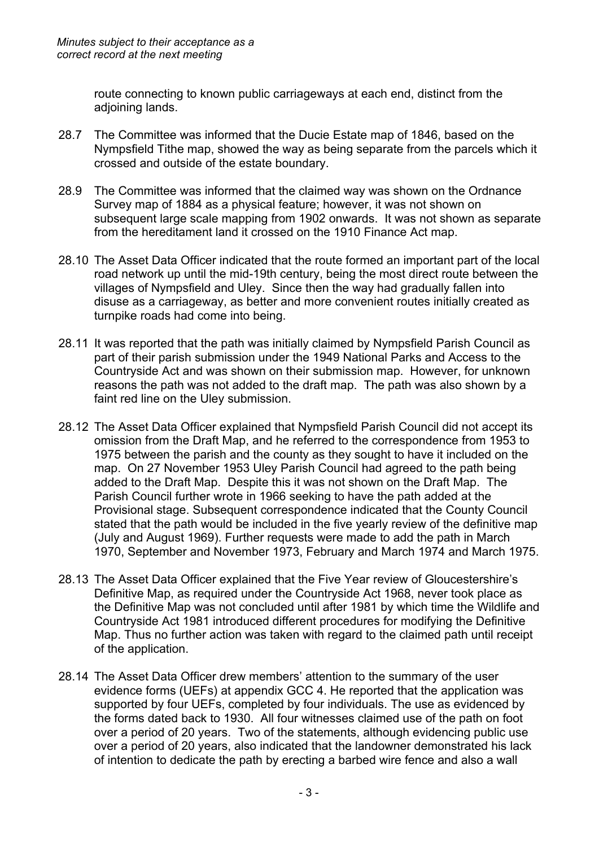route connecting to known public carriageways at each end, distinct from the adjoining lands.

- 28.7 The Committee was informed that the Ducie Estate map of 1846, based on the Nympsfield Tithe map, showed the way as being separate from the parcels which it crossed and outside of the estate boundary.
- 28.9 The Committee was informed that the claimed way was shown on the Ordnance Survey map of 1884 as a physical feature; however, it was not shown on subsequent large scale mapping from 1902 onwards. It was not shown as separate from the hereditament land it crossed on the 1910 Finance Act map.
- 28.10 The Asset Data Officer indicated that the route formed an important part of the local road network up until the mid-19th century, being the most direct route between the villages of Nympsfield and Uley. Since then the way had gradually fallen into disuse as a carriageway, as better and more convenient routes initially created as turnpike roads had come into being.
- 28.11 It was reported that the path was initially claimed by Nympsfield Parish Council as part of their parish submission under the 1949 National Parks and Access to the Countryside Act and was shown on their submission map. However, for unknown reasons the path was not added to the draft map. The path was also shown by a faint red line on the Uley submission.
- 28.12 The Asset Data Officer explained that Nympsfield Parish Council did not accept its omission from the Draft Map, and he referred to the correspondence from 1953 to 1975 between the parish and the county as they sought to have it included on the map. On 27 November 1953 Uley Parish Council had agreed to the path being added to the Draft Map. Despite this it was not shown on the Draft Map. The Parish Council further wrote in 1966 seeking to have the path added at the Provisional stage. Subsequent correspondence indicated that the County Council stated that the path would be included in the five yearly review of the definitive map (July and August 1969). Further requests were made to add the path in March 1970, September and November 1973, February and March 1974 and March 1975.
- 28.13 The Asset Data Officer explained that the Five Year review of Gloucestershire's Definitive Map, as required under the Countryside Act 1968, never took place as the Definitive Map was not concluded until after 1981 by which time the Wildlife and Countryside Act 1981 introduced different procedures for modifying the Definitive Map. Thus no further action was taken with regard to the claimed path until receipt of the application.
- 28.14 The Asset Data Officer drew members' attention to the summary of the user evidence forms (UEFs) at appendix GCC 4. He reported that the application was supported by four UEFs, completed by four individuals. The use as evidenced by the forms dated back to 1930. All four witnesses claimed use of the path on foot over a period of 20 years. Two of the statements, although evidencing public use over a period of 20 years, also indicated that the landowner demonstrated his lack of intention to dedicate the path by erecting a barbed wire fence and also a wall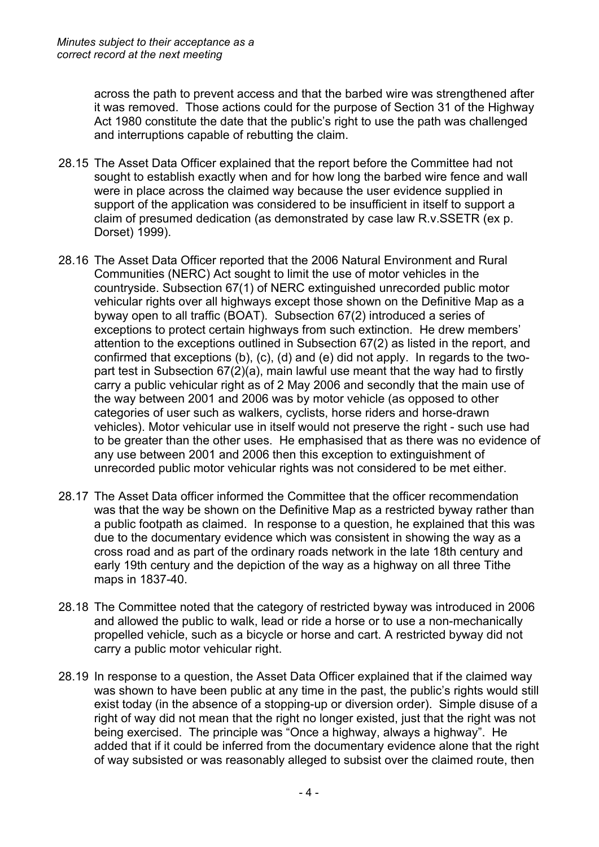across the path to prevent access and that the barbed wire was strengthened after it was removed. Those actions could for the purpose of Section 31 of the Highway Act 1980 constitute the date that the public's right to use the path was challenged and interruptions capable of rebutting the claim.

- 28.15 The Asset Data Officer explained that the report before the Committee had not sought to establish exactly when and for how long the barbed wire fence and wall were in place across the claimed way because the user evidence supplied in support of the application was considered to be insufficient in itself to support a claim of presumed dedication (as demonstrated by case law R.v.SSETR (ex p. Dorset) 1999).
- 28.16 The Asset Data Officer reported that the 2006 Natural Environment and Rural Communities (NERC) Act sought to limit the use of motor vehicles in the countryside. Subsection 67(1) of NERC extinguished unrecorded public motor vehicular rights over all highways except those shown on the Definitive Map as a byway open to all traffic (BOAT). Subsection 67(2) introduced a series of exceptions to protect certain highways from such extinction. He drew members' attention to the exceptions outlined in Subsection 67(2) as listed in the report, and confirmed that exceptions (b), (c), (d) and (e) did not apply. In regards to the twopart test in Subsection 67(2)(a), main lawful use meant that the way had to firstly carry a public vehicular right as of 2 May 2006 and secondly that the main use of the way between 2001 and 2006 was by motor vehicle (as opposed to other categories of user such as walkers, cyclists, horse riders and horse-drawn vehicles). Motor vehicular use in itself would not preserve the right - such use had to be greater than the other uses. He emphasised that as there was no evidence of any use between 2001 and 2006 then this exception to extinguishment of unrecorded public motor vehicular rights was not considered to be met either.
- 28.17 The Asset Data officer informed the Committee that the officer recommendation was that the way be shown on the Definitive Map as a restricted byway rather than a public footpath as claimed. In response to a question, he explained that this was due to the documentary evidence which was consistent in showing the way as a cross road and as part of the ordinary roads network in the late 18th century and early 19th century and the depiction of the way as a highway on all three Tithe maps in 1837-40.
- 28.18 The Committee noted that the category of restricted byway was introduced in 2006 and allowed the public to walk, lead or ride a horse or to use a non-mechanically propelled vehicle, such as a bicycle or horse and cart. A restricted byway did not carry a public motor vehicular right.
- 28.19 In response to a question, the Asset Data Officer explained that if the claimed way was shown to have been public at any time in the past, the public's rights would still exist today (in the absence of a stopping-up or diversion order). Simple disuse of a right of way did not mean that the right no longer existed, just that the right was not being exercised. The principle was "Once a highway, always a highway". He added that if it could be inferred from the documentary evidence alone that the right of way subsisted or was reasonably alleged to subsist over the claimed route, then